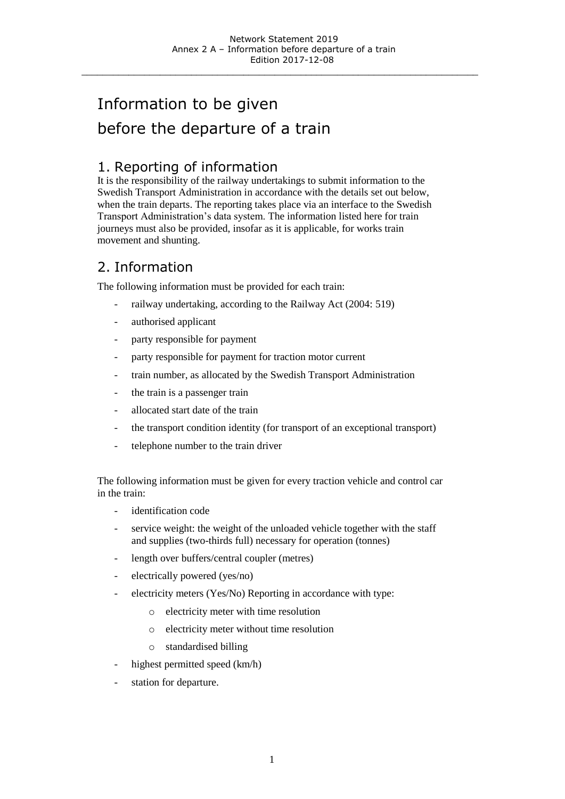\_\_\_\_\_\_\_\_\_\_\_\_\_\_\_\_\_\_\_\_\_\_\_\_\_\_\_\_\_\_\_\_\_\_\_\_\_\_\_\_\_\_\_\_\_\_\_\_\_\_\_\_\_\_\_\_\_\_\_\_\_\_\_\_\_\_\_\_\_\_\_\_\_\_\_\_

# Information to be given before the departure of a train

#### 1. Reporting of information

It is the responsibility of the railway undertakings to submit information to the Swedish Transport Administration in accordance with the details set out below, when the train departs. The reporting takes place via an interface to the Swedish Transport Administration's data system. The information listed here for train journeys must also be provided, insofar as it is applicable, for works train movement and shunting.

#### 2. Information

The following information must be provided for each train:

- railway undertaking, according to the Railway Act (2004: 519)
- authorised applicant
- party responsible for payment
- party responsible for payment for traction motor current
- train number, as allocated by the Swedish Transport Administration
- the train is a passenger train
- allocated start date of the train
- the transport condition identity (for transport of an exceptional transport)
- telephone number to the train driver

The following information must be given for every traction vehicle and control car in the train:

- identification code
- service weight: the weight of the unloaded vehicle together with the staff and supplies (two-thirds full) necessary for operation (tonnes)
- length over buffers/central coupler (metres)
- electrically powered (yes/no)
- electricity meters (Yes/No) Reporting in accordance with type:
	- o electricity meter with time resolution
	- o electricity meter without time resolution
	- o standardised billing
- highest permitted speed (km/h)
- station for departure.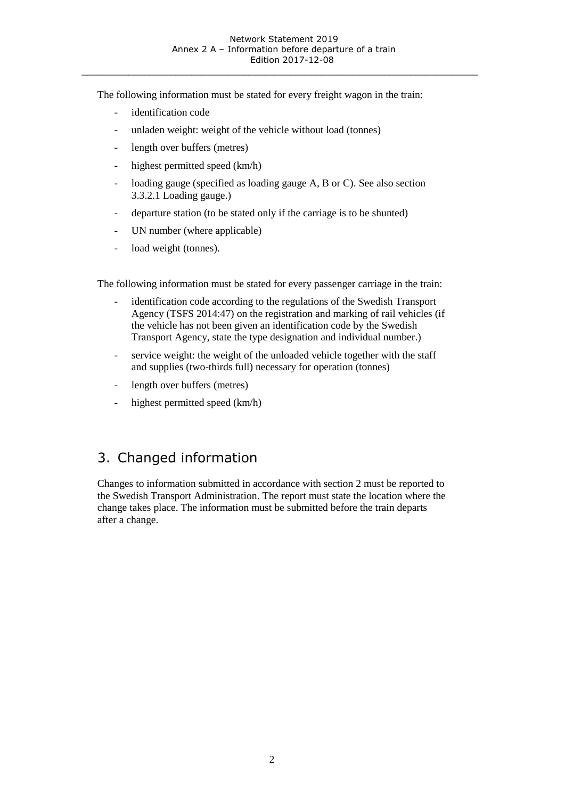\_\_\_\_\_\_\_\_\_\_\_\_\_\_\_\_\_\_\_\_\_\_\_\_\_\_\_\_\_\_\_\_\_\_\_\_\_\_\_\_\_\_\_\_\_\_\_\_\_\_\_\_\_\_\_\_\_\_\_\_\_\_\_\_\_\_\_\_\_\_\_\_\_\_\_\_

The following information must be stated for every freight wagon in the train:

- identification code
- unladen weight: weight of the vehicle without load (tonnes)
- length over buffers (metres)
- highest permitted speed (km/h)
- loading gauge (specified as loading gauge A, B or C). See also section 3.3.2.1 Loading gauge.)
- departure station (to be stated only if the carriage is to be shunted)
- UN number (where applicable)
- load weight (tonnes).

The following information must be stated for every passenger carriage in the train:

- identification code according to the regulations of the Swedish Transport Agency (TSFS 2014:47) on the registration and marking of rail vehicles (if the vehicle has not been given an identification code by the Swedish Transport Agency, state the type designation and individual number.)
- service weight: the weight of the unloaded vehicle together with the staff and supplies (two-thirds full) necessary for operation (tonnes)
- length over buffers (metres)
- highest permitted speed (km/h)

### 3. Changed information

Changes to information submitted in accordance with section 2 must be reported to the Swedish Transport Administration. The report must state the location where the change takes place. The information must be submitted before the train departs after a change.